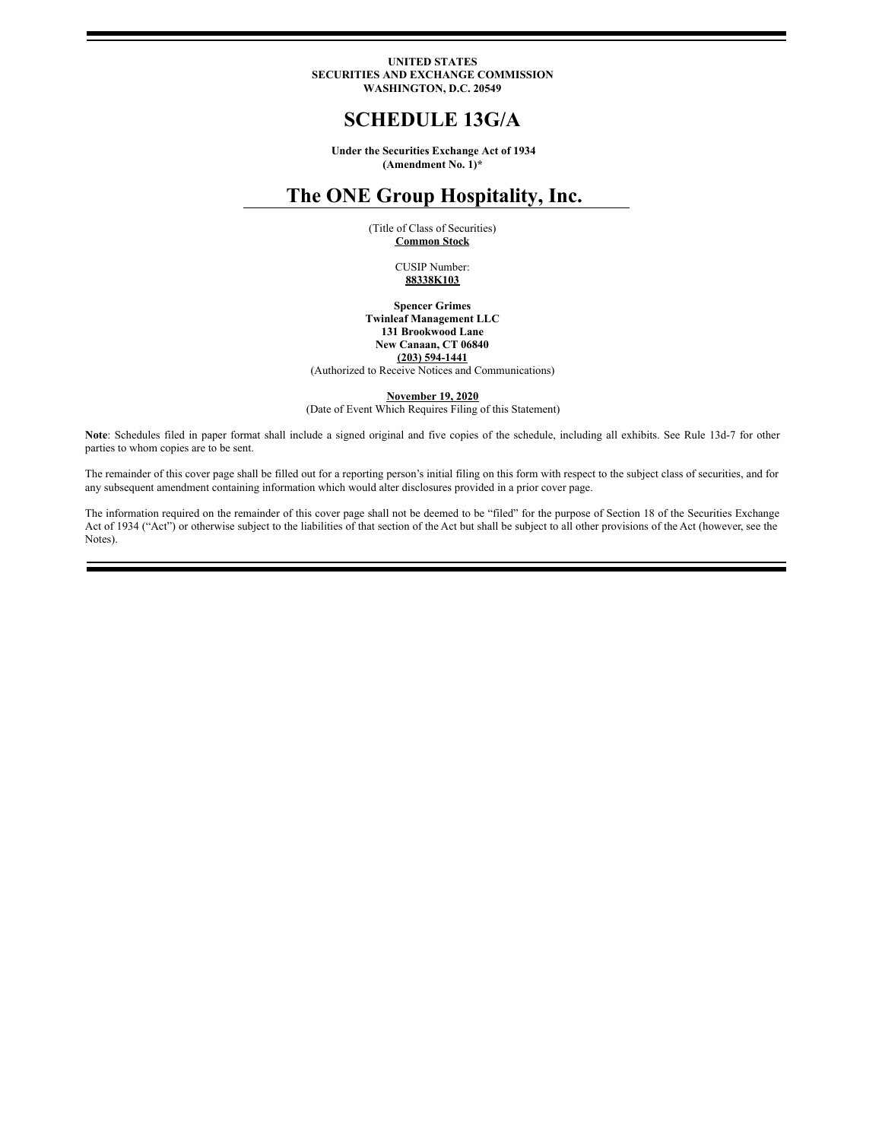#### **UNITED STATES SECURITIES AND EXCHANGE COMMISSION WASHINGTON, D.C. 20549**

# **SCHEDULE 13G/A**

**Under the Securities Exchange Act of 1934 (Amendment No. 1)\***

# **The ONE Group Hospitality, Inc.**

(Title of Class of Securities) **Common Stock**

> CUSIP Number: **88338K103**

**Spencer Grimes Twinleaf Management LLC 131 Brookwood Lane New Canaan, CT 06840 (203) 594-1441**

(Authorized to Receive Notices and Communications)

**November 19, 2020**

(Date of Event Which Requires Filing of this Statement)

**Note**: Schedules filed in paper format shall include a signed original and five copies of the schedule, including all exhibits. See Rule 13d-7 for other parties to whom copies are to be sent.

The remainder of this cover page shall be filled out for a reporting person's initial filing on this form with respect to the subject class of securities, and for any subsequent amendment containing information which would alter disclosures provided in a prior cover page.

The information required on the remainder of this cover page shall not be deemed to be "filed" for the purpose of Section 18 of the Securities Exchange Act of 1934 ("Act") or otherwise subject to the liabilities of that section of the Act but shall be subject to all other provisions of the Act (however, see the Notes).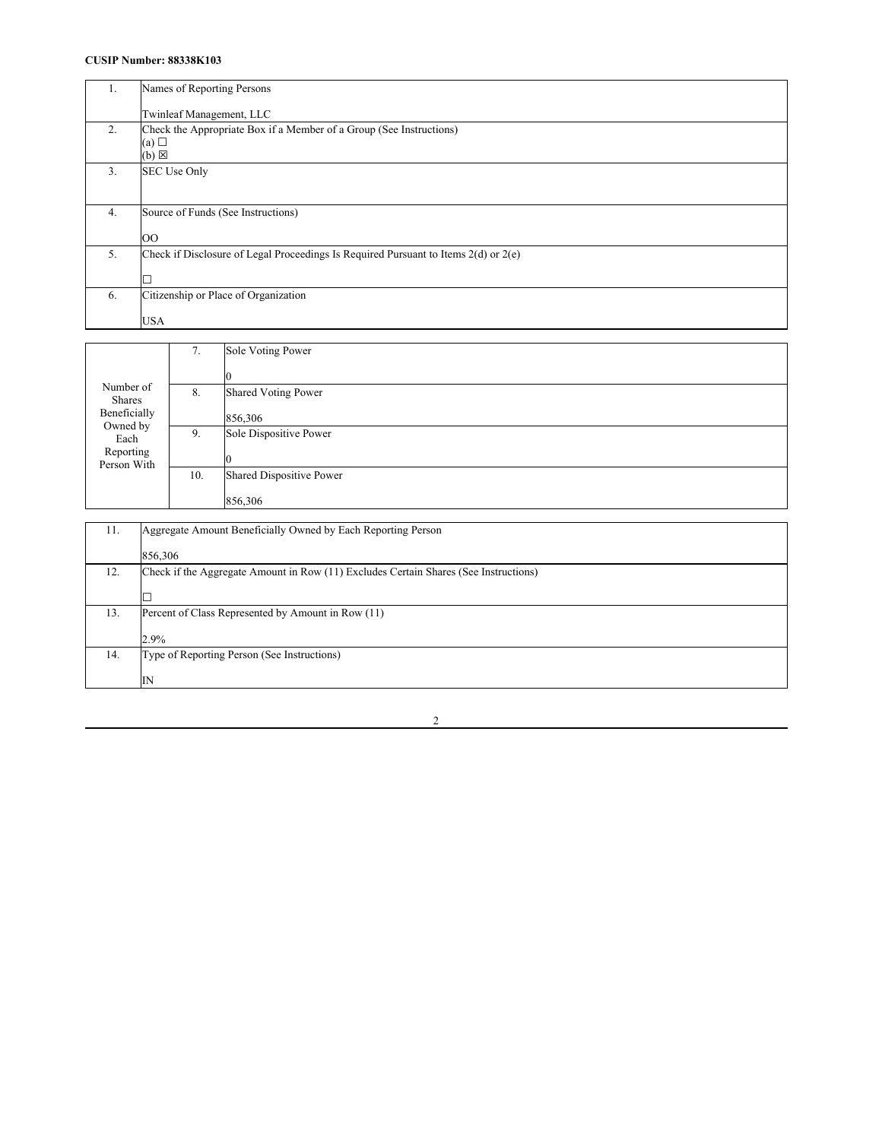### **CUSIP Number: 88338K103**

| $\mathbf{L}$ | Names of Reporting Persons                                                                    |
|--------------|-----------------------------------------------------------------------------------------------|
|              | Twinleaf Management, LLC                                                                      |
| 2.           | Check the Appropriate Box if a Member of a Group (See Instructions)<br>(a)<br>$(b) \boxtimes$ |
| 3.           | SEC Use Only                                                                                  |
| 4.           | Source of Funds (See Instructions)                                                            |
|              | <b>OO</b>                                                                                     |
| 5.           | Check if Disclosure of Legal Proceedings Is Required Pursuant to Items $2(d)$ or $2(e)$       |
|              |                                                                                               |
| 6.           | Citizenship or Place of Organization                                                          |
|              | <b>USA</b>                                                                                    |

|                            | 7.  | Sole Voting Power               |
|----------------------------|-----|---------------------------------|
|                            |     |                                 |
| Number of<br><b>Shares</b> | 8.  | <b>Shared Voting Power</b>      |
| Beneficially               |     | 856,306                         |
| Owned by<br>Each           | 9.  | Sole Dispositive Power          |
| Reporting<br>Person With   |     |                                 |
|                            | 10. | <b>Shared Dispositive Power</b> |
|                            |     | 856,306                         |

| 11. | Aggregate Amount Beneficially Owned by Each Reporting Person                         |
|-----|--------------------------------------------------------------------------------------|
|     | 856,306                                                                              |
| 12. | Check if the Aggregate Amount in Row (11) Excludes Certain Shares (See Instructions) |
|     | D                                                                                    |
| 13. | Percent of Class Represented by Amount in Row (11)                                   |
|     | 2.9%                                                                                 |
| 14. | Type of Reporting Person (See Instructions)                                          |
|     | IN                                                                                   |

2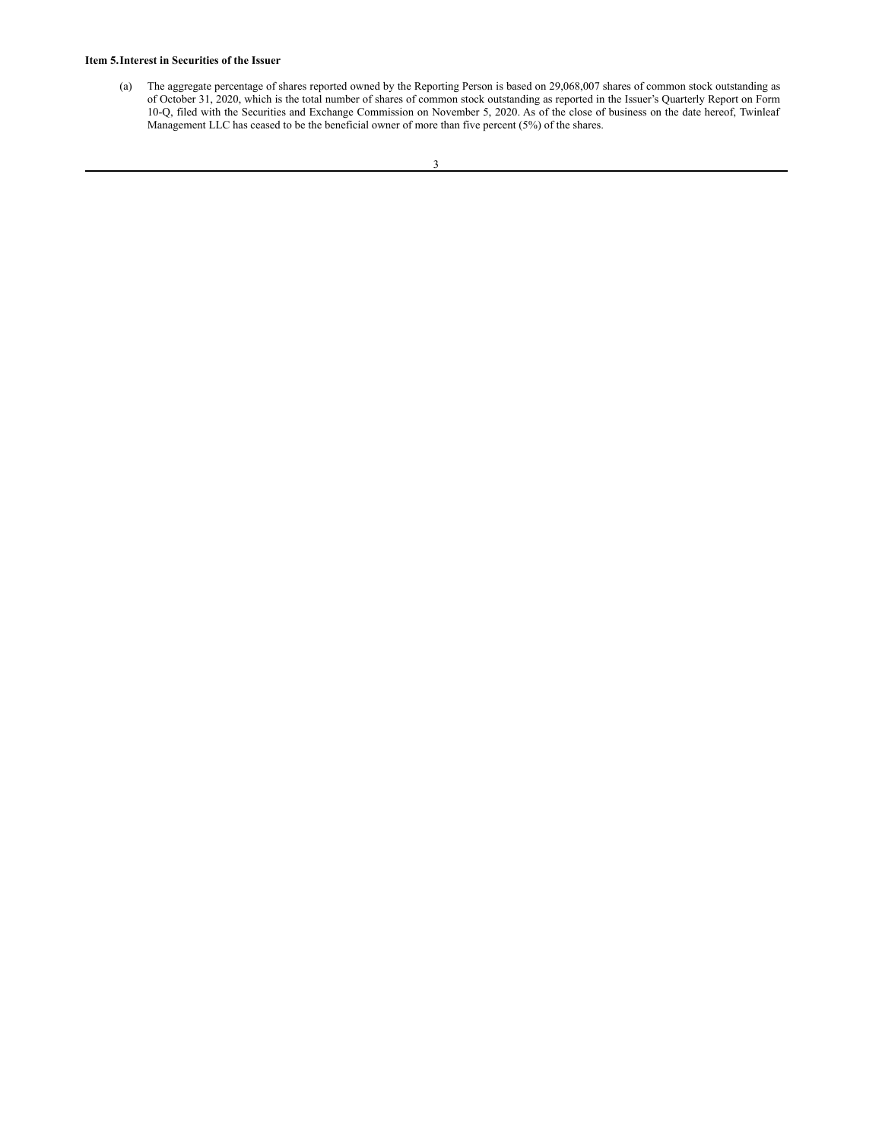#### **Item 5.Interest in Securities of the Issuer**

(a) The aggregate percentage of shares reported owned by the Reporting Person is based on 29,068,007 shares of common stock outstanding as of October 31, 2020, which is the total number of shares of common stock outstanding as reported in the Issuer's Quarterly Report on Form 10-Q, filed with the Securities and Exchange Commission on November 5, 2020. As of the close of business on the date hereof, Twinleaf Management LLC has ceased to be the beneficial owner of more than five percent (5%) of the shares.